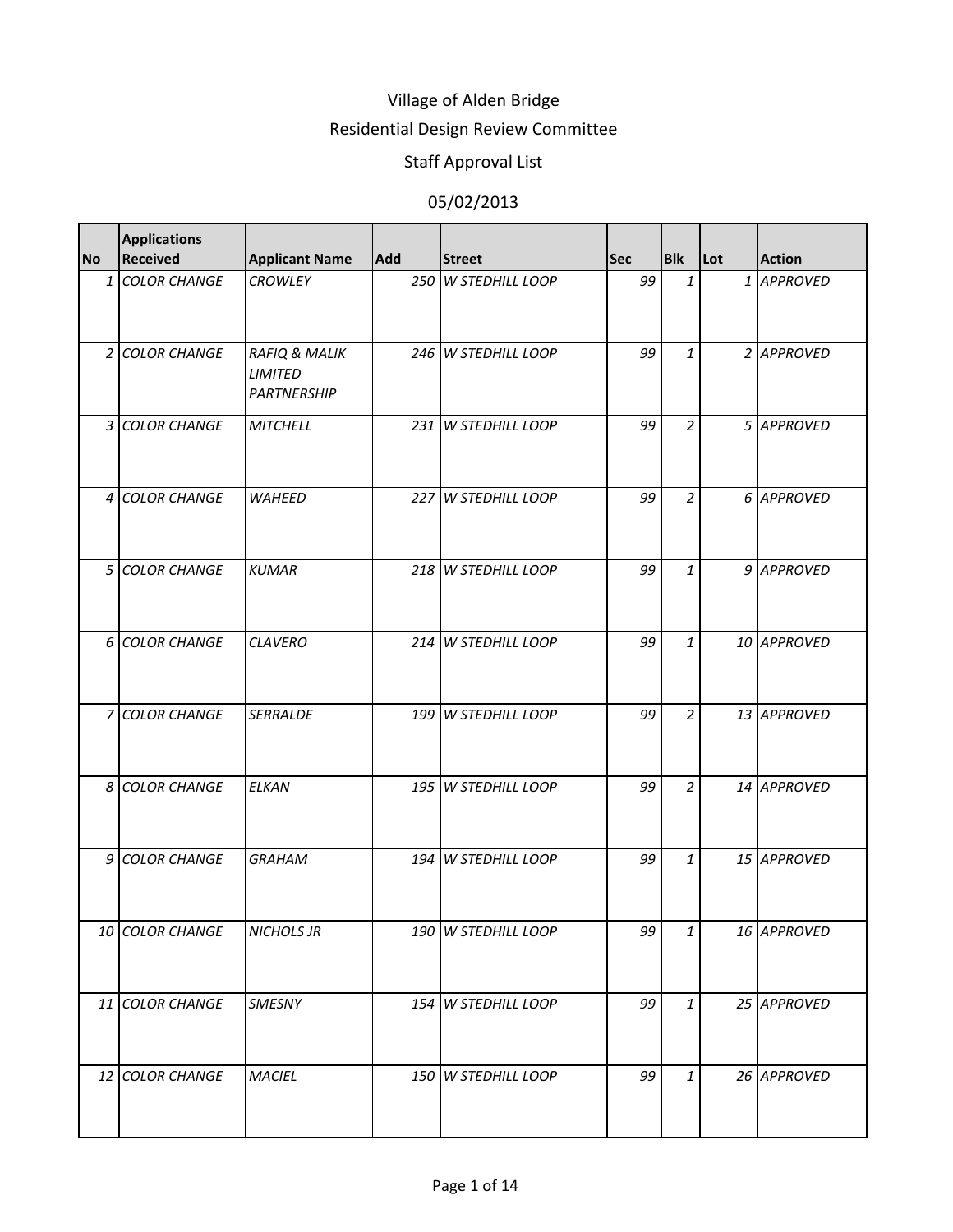### Residential Design Review Committee

# Staff Approval List

| <b>No</b> | <b>Applications</b><br><b>Received</b> | <b>Applicant Name</b>                                            | <b>Add</b> | <b>Street</b>       | <b>Sec</b> | <b>Blk</b>     | Lot | <b>Action</b> |
|-----------|----------------------------------------|------------------------------------------------------------------|------------|---------------------|------------|----------------|-----|---------------|
|           | 1 COLOR CHANGE                         | <b>CROWLEY</b>                                                   |            | 250 W STEDHILL LOOP | 99         | $\mathbf{1}$   |     | 1 APPROVED    |
|           | 2 COLOR CHANGE                         | <b>RAFIQ &amp; MALIK</b><br><b>LIMITED</b><br><b>PARTNERSHIP</b> |            | 246 W STEDHILL LOOP | 99         | $\mathbf{1}$   |     | 2 APPROVED    |
|           | 3 COLOR CHANGE                         | <b>MITCHELL</b>                                                  |            | 231 W STEDHILL LOOP | 99         | $\overline{a}$ |     | 5 APPROVED    |
|           | 4 COLOR CHANGE                         | <b>WAHEED</b>                                                    |            | 227 W STEDHILL LOOP | 99         | $\overline{a}$ |     | 6 APPROVED    |
|           | 5 COLOR CHANGE                         | <b>KUMAR</b>                                                     |            | 218 W STEDHILL LOOP | 99         | $\mathbf{1}$   |     | 9 APPROVED    |
|           | 6 COLOR CHANGE                         | <b>CLAVERO</b>                                                   |            | 214 W STEDHILL LOOP | 99         | $\mathbf{1}$   |     | 10 APPROVED   |
|           | 7 COLOR CHANGE                         | <b>SERRALDE</b>                                                  |            | 199 W STEDHILL LOOP | 99         | $\overline{2}$ |     | 13 APPROVED   |
|           | 8 COLOR CHANGE                         | <b>ELKAN</b>                                                     |            | 195 W STEDHILL LOOP | 99         | $\overline{a}$ |     | 14 APPROVED   |
|           | 9 COLOR CHANGE                         | <b>GRAHAM</b>                                                    |            | 194 W STEDHILL LOOP | 99         | $\mathbf{1}$   |     | 15 APPROVED   |
|           | 10 COLOR CHANGE                        | <b>NICHOLS JR</b>                                                |            | 190 W STEDHILL LOOP | 99         | $\mathbf{1}$   |     | 16 APPROVED   |
|           | 11 COLOR CHANGE                        | SMESNY                                                           |            | 154 W STEDHILL LOOP | 99         | $\mathbf{1}$   |     | 25 APPROVED   |
|           | 12 COLOR CHANGE                        | <b>MACIEL</b>                                                    |            | 150 W STEDHILL LOOP | 99         | $\mathbf{1}$   |     | 26 APPROVED   |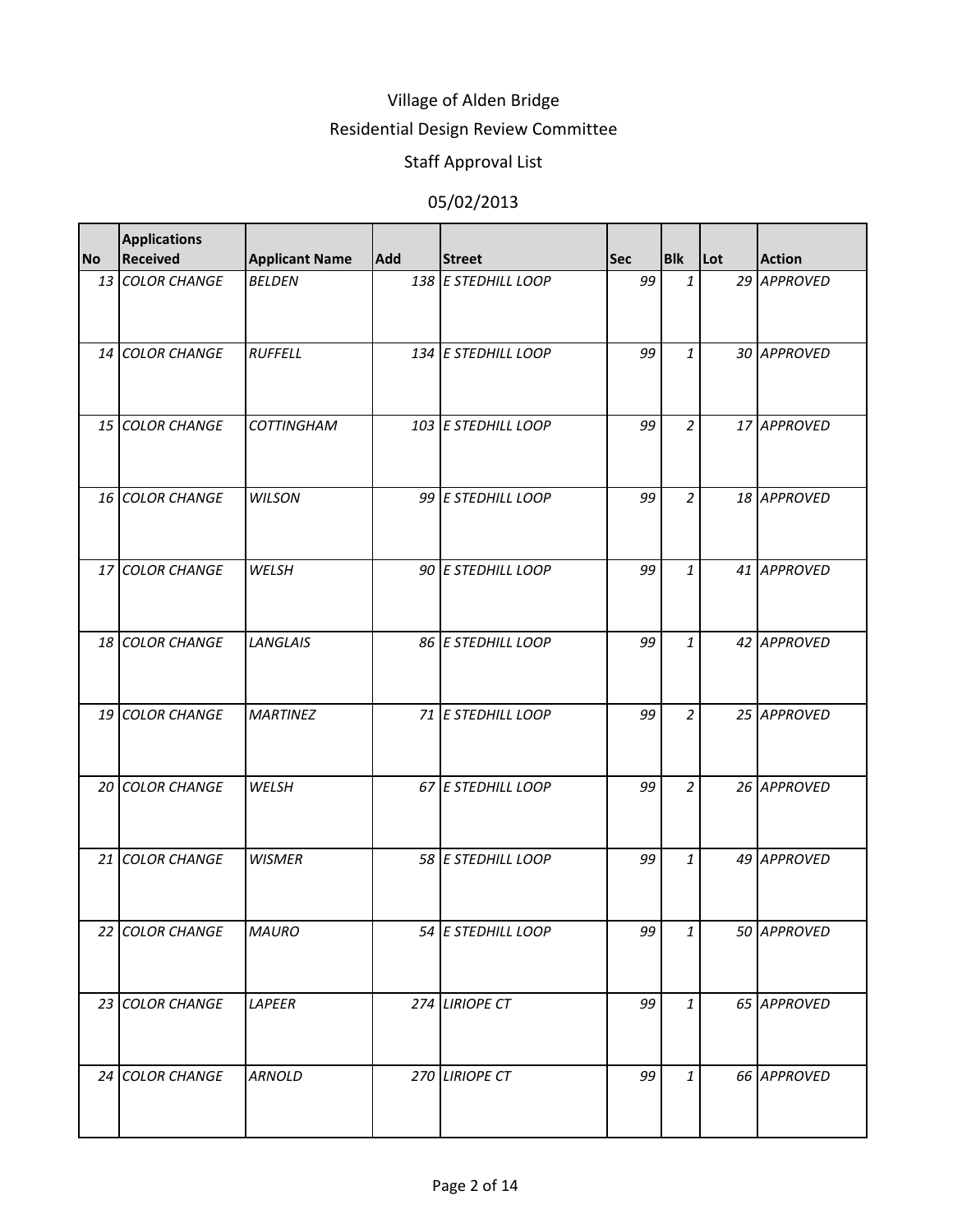### Residential Design Review Committee

# Staff Approval List

| <b>No</b> | <b>Applications</b><br><b>Received</b> | <b>Applicant Name</b> | <b>Add</b> | <b>Street</b>       | <b>Sec</b> | <b>Blk</b>     | Lot | <b>Action</b> |
|-----------|----------------------------------------|-----------------------|------------|---------------------|------------|----------------|-----|---------------|
|           | 13 COLOR CHANGE                        | <b>BELDEN</b>         |            | 138 E STEDHILL LOOP | 99         | $\mathbf{1}$   |     | 29 APPROVED   |
|           | 14 COLOR CHANGE                        | <b>RUFFELL</b>        |            | 134 E STEDHILL LOOP | 99         | $\mathbf{1}$   |     | 30 APPROVED   |
|           | 15 COLOR CHANGE                        | <b>COTTINGHAM</b>     |            | 103 E STEDHILL LOOP | 99         | $\overline{a}$ |     | 17 APPROVED   |
|           | 16 COLOR CHANGE                        | <b>WILSON</b>         |            | 99 E STEDHILL LOOP  | 99         | $\overline{a}$ |     | 18 APPROVED   |
|           | 17 COLOR CHANGE                        | WELSH                 |            | 90 E STEDHILL LOOP  | 99         | $\mathbf{1}$   |     | 41 APPROVED   |
|           | 18 COLOR CHANGE                        | <b>LANGLAIS</b>       |            | 86 E STEDHILL LOOP  | 99         | $\mathbf{1}$   |     | 42 APPROVED   |
|           | 19 COLOR CHANGE                        | <b>MARTINEZ</b>       |            | 71 E STEDHILL LOOP  | 99         | $\overline{a}$ |     | 25 APPROVED   |
|           | 20 COLOR CHANGE                        | WELSH                 |            | 67 E STEDHILL LOOP  | 99         | $\overline{a}$ |     | 26 APPROVED   |
|           | 21 COLOR CHANGE                        | <b>WISMER</b>         |            | 58 E STEDHILL LOOP  | 99         | $\mathbf{1}$   |     | 49 APPROVED   |
|           | 22 COLOR CHANGE                        | <b>MAURO</b>          |            | 54 E STEDHILL LOOP  | 99         | $\mathbf{1}$   |     | 50 APPROVED   |
|           | 23 COLOR CHANGE                        | LAPEER                |            | 274 LIRIOPE CT      | 99         | $\mathbf{1}$   |     | 65 APPROVED   |
|           | 24 COLOR CHANGE                        | <b>ARNOLD</b>         |            | 270 LIRIOPE CT      | 99         | $\mathbf{1}$   |     | 66 APPROVED   |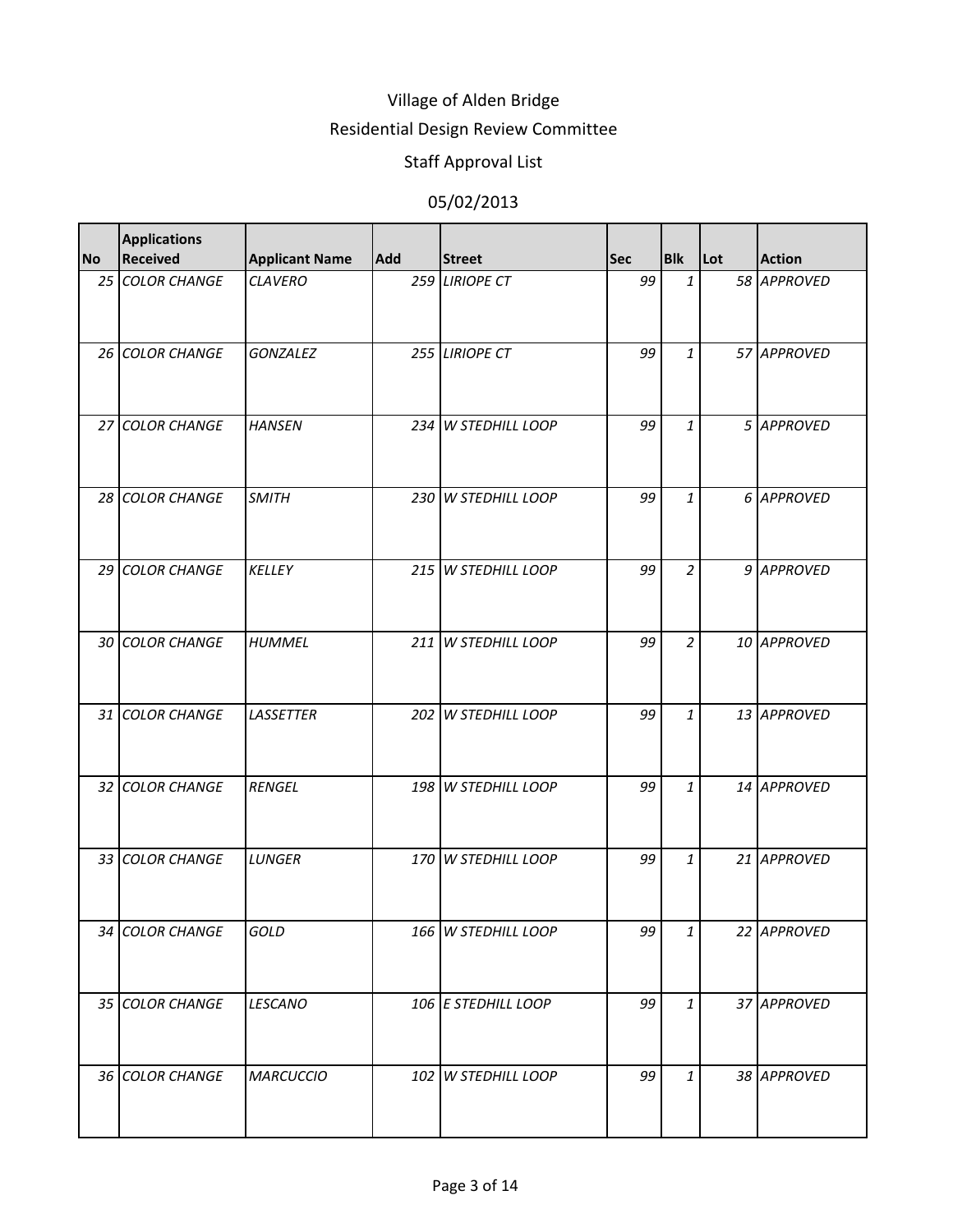### Residential Design Review Committee

# Staff Approval List

| <b>No</b> | <b>Applications</b><br><b>Received</b> | <b>Applicant Name</b> | <b>Add</b> | <b>Street</b>       | <b>Sec</b> | <b>Blk</b>     | Lot | <b>Action</b> |
|-----------|----------------------------------------|-----------------------|------------|---------------------|------------|----------------|-----|---------------|
|           | 25 COLOR CHANGE                        | <b>CLAVERO</b>        |            | 259 LIRIOPE CT      | 99         | $\mathbf{1}$   |     | 58 APPROVED   |
|           | 26 COLOR CHANGE                        | <b>GONZALEZ</b>       |            | 255 LIRIOPE CT      | 99         | $\mathbf{1}$   |     | 57 APPROVED   |
|           | 27 COLOR CHANGE                        | <b>HANSEN</b>         |            | 234 W STEDHILL LOOP | 99         | $\mathbf{1}$   |     | 5 APPROVED    |
|           | 28 COLOR CHANGE                        | <b>SMITH</b>          |            | 230 W STEDHILL LOOP | 99         | $\mathbf{1}$   |     | 6 APPROVED    |
|           | 29 COLOR CHANGE                        | <b>KELLEY</b>         |            | 215 W STEDHILL LOOP | 99         | $\overline{a}$ |     | 9 APPROVED    |
|           | 30 COLOR CHANGE                        | <b>HUMMEL</b>         |            | 211 W STEDHILL LOOP | 99         | $\overline{a}$ |     | 10 APPROVED   |
|           | 31 COLOR CHANGE                        | <b>LASSETTER</b>      |            | 202 W STEDHILL LOOP | 99         | $\mathbf{1}$   |     | 13 APPROVED   |
|           | 32 COLOR CHANGE                        | <b>RENGEL</b>         |            | 198 W STEDHILL LOOP | 99         | $\mathbf{1}$   |     | 14 APPROVED   |
|           | 33 COLOR CHANGE                        | <b>LUNGER</b>         |            | 170 W STEDHILL LOOP | 99         | $\mathbf{1}$   |     | 21 APPROVED   |
|           | 34 COLOR CHANGE                        | GOLD                  |            | 166 W STEDHILL LOOP | 99         | $\mathbf{1}$   |     | 22 APPROVED   |
|           | 35 COLOR CHANGE                        | <b>LESCANO</b>        |            | 106 E STEDHILL LOOP | 99         | $\mathbf{1}$   |     | 37 APPROVED   |
|           | 36 COLOR CHANGE                        | <b>MARCUCCIO</b>      |            | 102 W STEDHILL LOOP | 99         | $\mathbf{1}$   |     | 38 APPROVED   |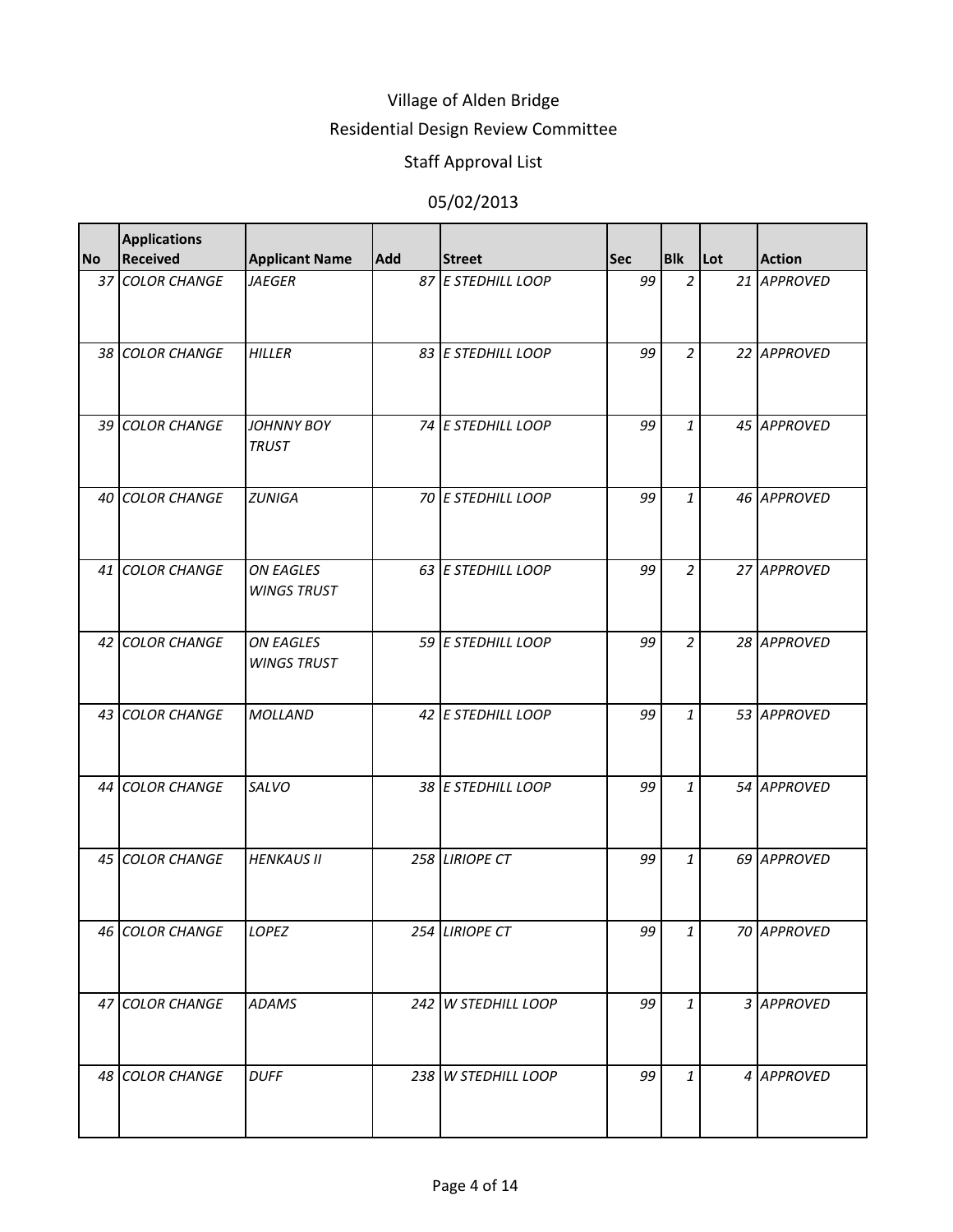### Residential Design Review Committee

# Staff Approval List

| <b>No</b> | <b>Applications</b><br><b>Received</b> | <b>Applicant Name</b>                  | <b>Add</b> | <b>Street</b>       | <b>Sec</b> | <b>Blk</b>     | <b>Lot</b> | <b>Action</b> |
|-----------|----------------------------------------|----------------------------------------|------------|---------------------|------------|----------------|------------|---------------|
|           | 37 COLOR CHANGE                        | <b>JAEGER</b>                          |            | 87 E STEDHILL LOOP  | 99         | $\overline{a}$ |            | 21 APPROVED   |
|           | 38 COLOR CHANGE                        | HILLER                                 |            | 83 E STEDHILL LOOP  | 99         | $\overline{2}$ |            | 22 APPROVED   |
|           | 39 COLOR CHANGE                        | <b>JOHNNY BOY</b><br><b>TRUST</b>      |            | 74 E STEDHILL LOOP  | 99         | $\mathbf{1}$   |            | 45 APPROVED   |
|           | 40 COLOR CHANGE                        | <b>ZUNIGA</b>                          |            | 70 E STEDHILL LOOP  | 99         | $\mathbf{1}$   |            | 46 APPROVED   |
|           | 41 COLOR CHANGE                        | <b>ON EAGLES</b><br><b>WINGS TRUST</b> |            | 63 E STEDHILL LOOP  | 99         | $\overline{a}$ |            | 27 APPROVED   |
|           | 42 COLOR CHANGE                        | <b>ON EAGLES</b><br><b>WINGS TRUST</b> |            | 59 E STEDHILL LOOP  | 99         | $\overline{a}$ |            | 28 APPROVED   |
|           | 43 COLOR CHANGE                        | <b>MOLLAND</b>                         |            | 42 E STEDHILL LOOP  | 99         | $\mathbf{1}$   |            | 53 APPROVED   |
|           | 44 COLOR CHANGE                        | <b>SALVO</b>                           |            | 38 E STEDHILL LOOP  | 99         | $\mathbf{1}$   |            | 54 APPROVED   |
|           | 45 COLOR CHANGE                        | <b>HENKAUS II</b>                      |            | 258 LIRIOPE CT      | 99         | $\mathbf{1}$   |            | 69 APPROVED   |
|           | 46 COLOR CHANGE                        | LOPEZ                                  | 254        | <b>LIRIOPE CT</b>   | 99         | $\mathbf{1}$   |            | 70 APPROVED   |
|           | 47 COLOR CHANGE                        | <b>ADAMS</b>                           |            | 242 W STEDHILL LOOP | 99         | $\mathbf{1}$   |            | 3 APPROVED    |
|           | 48 COLOR CHANGE                        | <b>DUFF</b>                            |            | 238 W STEDHILL LOOP | 99         | $\mathbf{1}$   |            | 4 APPROVED    |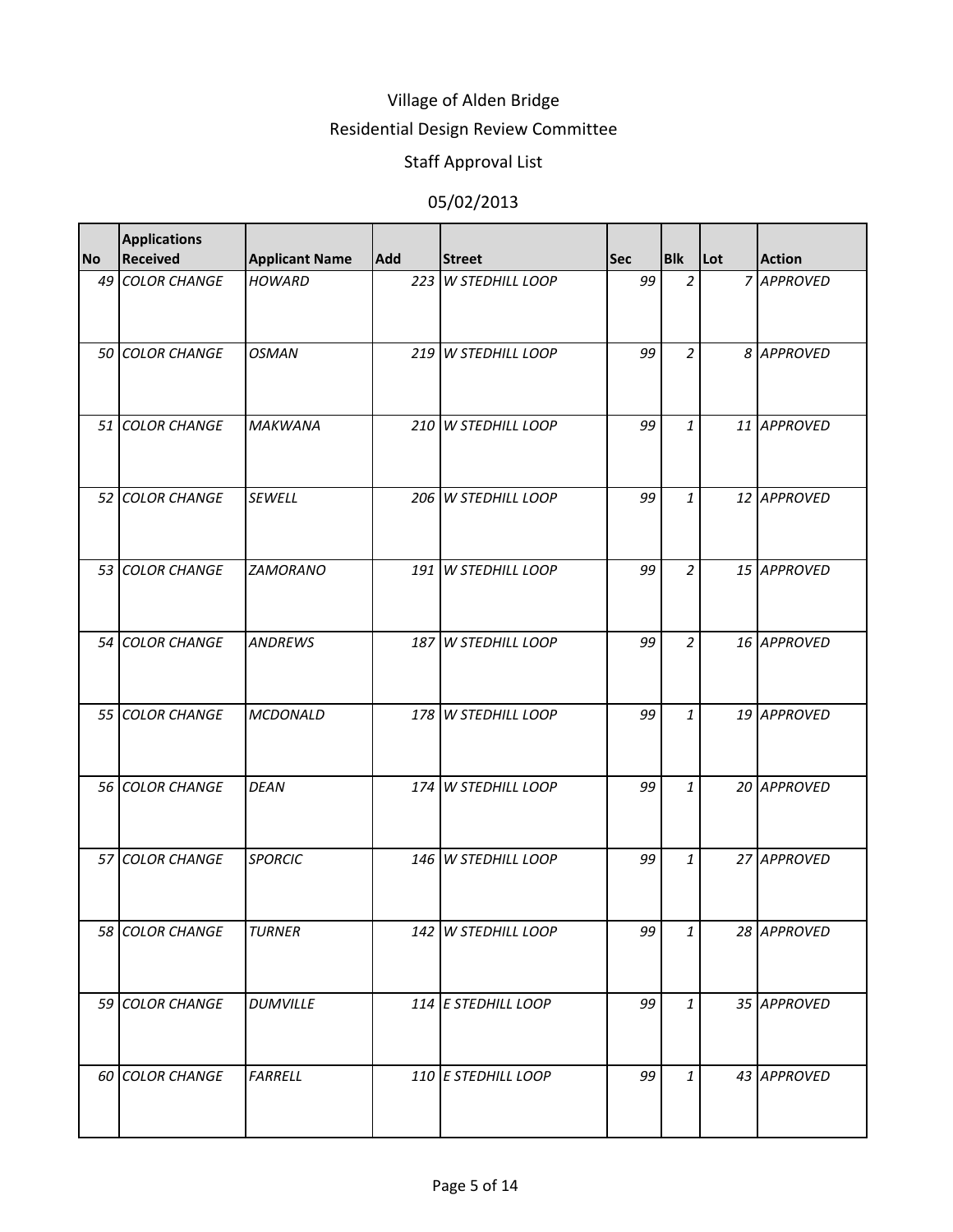### Residential Design Review Committee

# Staff Approval List

| <b>No</b> | <b>Applications</b><br><b>Received</b> | <b>Applicant Name</b> | <b>Add</b> | <b>Street</b>       | <b>Sec</b> | <b>Blk</b>     | Lot | <b>Action</b> |
|-----------|----------------------------------------|-----------------------|------------|---------------------|------------|----------------|-----|---------------|
|           | 49 COLOR CHANGE                        | <b>HOWARD</b>         |            | 223 W STEDHILL LOOP | 99         | $\overline{2}$ |     | 7 APPROVED    |
|           | 50 COLOR CHANGE                        | <b>OSMAN</b>          |            | 219 W STEDHILL LOOP | 99         | 2              |     | 8 APPROVED    |
|           | 51 COLOR CHANGE                        | <b>MAKWANA</b>        |            | 210 W STEDHILL LOOP | 99         | $\mathbf{1}$   |     | 11 APPROVED   |
|           | 52 COLOR CHANGE                        | <b>SEWELL</b>         |            | 206 W STEDHILL LOOP | 99         | $\mathbf{1}$   |     | 12 APPROVED   |
|           | 53 COLOR CHANGE                        | <b>ZAMORANO</b>       |            | 191 W STEDHILL LOOP | 99         | $\overline{a}$ |     | 15 APPROVED   |
|           | 54 COLOR CHANGE                        | <b>ANDREWS</b>        |            | 187 W STEDHILL LOOP | 99         | $\overline{a}$ |     | 16 APPROVED   |
|           | 55 COLOR CHANGE                        | <b>MCDONALD</b>       |            | 178 W STEDHILL LOOP | 99         | $\mathbf{1}$   |     | 19 APPROVED   |
|           | 56 COLOR CHANGE                        | <b>DEAN</b>           |            | 174 W STEDHILL LOOP | 99         | $\mathbf{1}$   |     | 20 APPROVED   |
|           | 57 COLOR CHANGE                        | <b>SPORCIC</b>        |            | 146 W STEDHILL LOOP | 99         | $\mathbf{1}$   |     | 27 APPROVED   |
|           | 58 COLOR CHANGE                        | <b>TURNER</b>         |            | 142 W STEDHILL LOOP | 99         | $\mathbf{1}$   |     | 28 APPROVED   |
|           | 59 COLOR CHANGE                        | <b>DUMVILLE</b>       |            | 114 E STEDHILL LOOP | 99         | $\mathbf{1}$   |     | 35 APPROVED   |
|           | 60 COLOR CHANGE                        | <b>FARRELL</b>        |            | 110 E STEDHILL LOOP | 99         | $\mathbf{1}$   |     | 43 APPROVED   |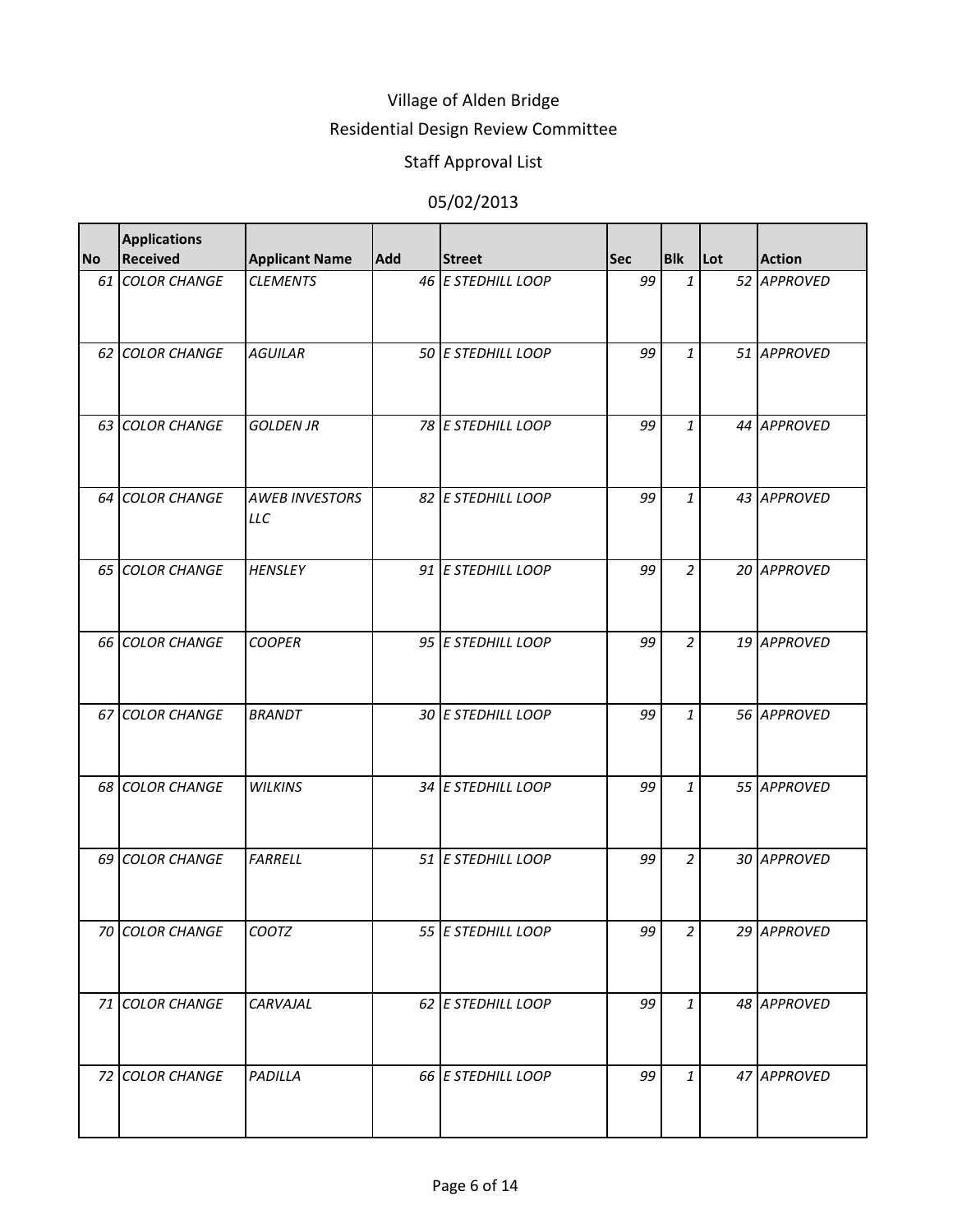### Residential Design Review Committee

# Staff Approval List

| <b>No</b> | <b>Applications</b><br><b>Received</b> | <b>Applicant Name</b>               | Add | <b>Street</b>      | <b>Sec</b> | <b>Blk</b>     | Lot | <b>Action</b> |
|-----------|----------------------------------------|-------------------------------------|-----|--------------------|------------|----------------|-----|---------------|
|           | 61 COLOR CHANGE                        | <b>CLEMENTS</b>                     |     | 46 E STEDHILL LOOP | 99         | $\mathbf{1}$   |     | 52 APPROVED   |
|           | 62 COLOR CHANGE                        | <b>AGUILAR</b>                      |     | 50 E STEDHILL LOOP | 99         | $\mathbf{1}$   |     | 51 APPROVED   |
|           | 63 COLOR CHANGE                        | <b>GOLDEN JR</b>                    |     | 78 E STEDHILL LOOP | 99         | $\mathbf{1}$   |     | 44 APPROVED   |
|           | 64 COLOR CHANGE                        | <b>AWEB INVESTORS</b><br><b>LLC</b> |     | 82 E STEDHILL LOOP | 99         | $\mathbf{1}$   |     | 43 APPROVED   |
|           | 65 COLOR CHANGE                        | <b>HENSLEY</b>                      |     | 91 E STEDHILL LOOP | 99         | $\overline{a}$ |     | 20 APPROVED   |
|           | 66 COLOR CHANGE                        | <b>COOPER</b>                       |     | 95 E STEDHILL LOOP | 99         | $\overline{a}$ |     | 19 APPROVED   |
|           | 67 COLOR CHANGE                        | <b>BRANDT</b>                       |     | 30 E STEDHILL LOOP | 99         | $\mathbf{1}$   |     | 56 APPROVED   |
|           | 68 COLOR CHANGE                        | <b>WILKINS</b>                      |     | 34 E STEDHILL LOOP | 99         | $\mathbf{1}$   |     | 55 APPROVED   |
|           | 69 COLOR CHANGE                        | <b>FARRELL</b>                      |     | 51 E STEDHILL LOOP | 99         | $\overline{a}$ |     | 30 APPROVED   |
|           | 70 COLOR CHANGE                        | COOTZ                               |     | 55 E STEDHILL LOOP | 99         | $\overline{a}$ |     | 29 APPROVED   |
|           | 71 COLOR CHANGE                        | CARVAJAL                            |     | 62 E STEDHILL LOOP | 99         | $\mathbf{1}$   |     | 48 APPROVED   |
|           | 72 COLOR CHANGE                        | <b>PADILLA</b>                      |     | 66 E STEDHILL LOOP | 99         | $\mathbf{1}$   |     | 47 APPROVED   |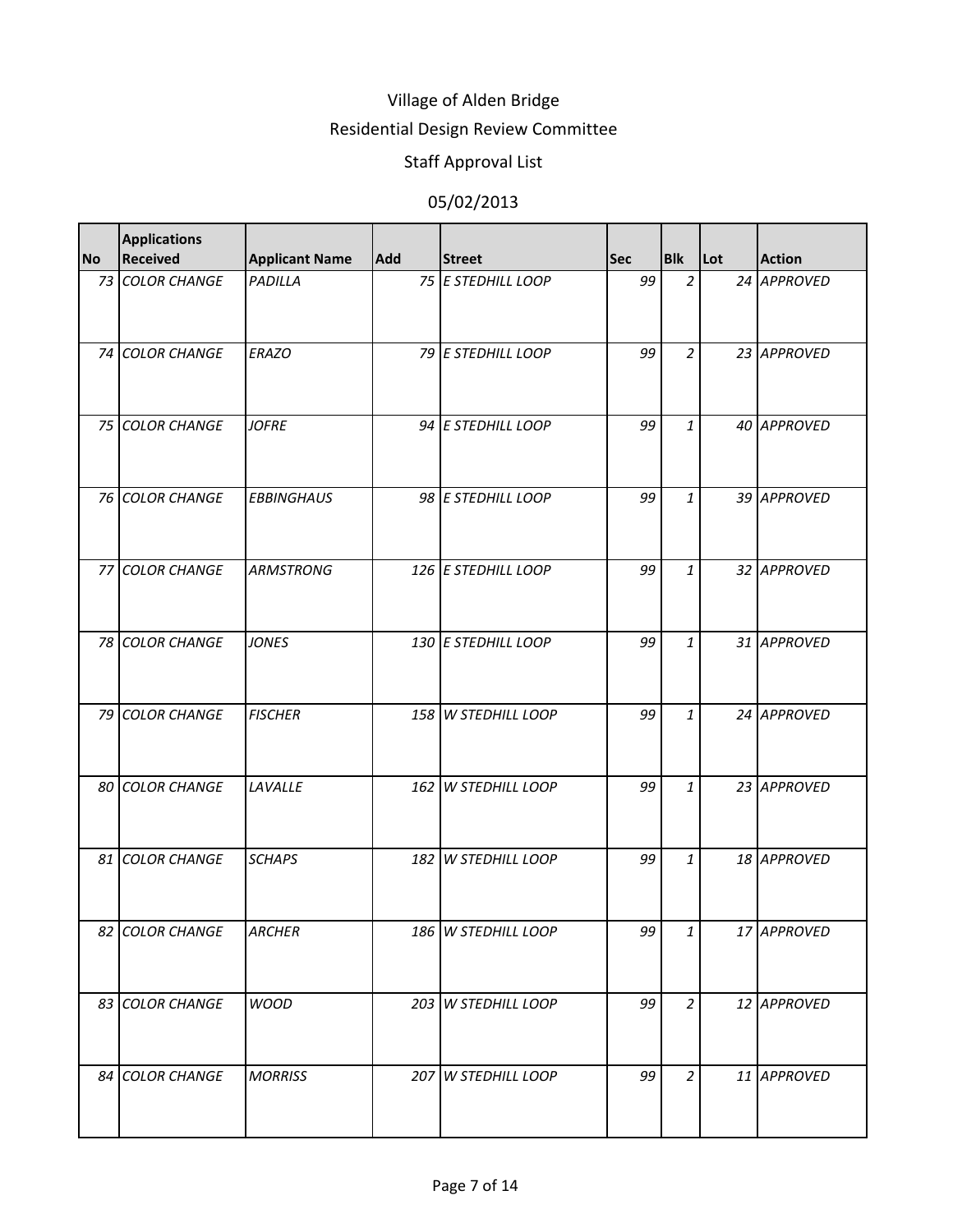### Residential Design Review Committee

# Staff Approval List

| <b>No</b> | <b>Applications</b><br><b>Received</b> | <b>Applicant Name</b> | <b>Add</b> | <b>Street</b>       | <b>Sec</b> | <b>Blk</b>     | Lot | <b>Action</b> |
|-----------|----------------------------------------|-----------------------|------------|---------------------|------------|----------------|-----|---------------|
|           | 73 COLOR CHANGE                        | PADILLA               |            | 75 E STEDHILL LOOP  | 99         | $\overline{a}$ |     | 24 APPROVED   |
|           | 74 COLOR CHANGE                        | <b>ERAZO</b>          |            | 79 E STEDHILL LOOP  | 99         | $\overline{a}$ |     | 23 APPROVED   |
|           | 75 COLOR CHANGE                        | <b>JOFRE</b>          |            | 94 E STEDHILL LOOP  | 99         | $\mathbf{1}$   |     | 40 APPROVED   |
|           | 76 COLOR CHANGE                        | <b>EBBINGHAUS</b>     |            | 98 E STEDHILL LOOP  | 99         | $\mathbf{1}$   |     | 39 APPROVED   |
|           | 77 COLOR CHANGE                        | <b>ARMSTRONG</b>      |            | 126 E STEDHILL LOOP | 99         | $\mathbf{1}$   |     | 32 APPROVED   |
|           | 78 COLOR CHANGE                        | <b>JONES</b>          |            | 130 E STEDHILL LOOP | 99         | $\mathbf{1}$   |     | 31 APPROVED   |
|           | 79 COLOR CHANGE                        | <b>FISCHER</b>        |            | 158 W STEDHILL LOOP | 99         | $\mathbf{1}$   |     | 24 APPROVED   |
|           | 80 COLOR CHANGE                        | LAVALLE               |            | 162 W STEDHILL LOOP | 99         | $\mathbf{1}$   |     | 23 APPROVED   |
|           | 81 COLOR CHANGE                        | <b>SCHAPS</b>         |            | 182 W STEDHILL LOOP | 99         | $\mathbf{1}$   |     | 18 APPROVED   |
|           | 82 COLOR CHANGE                        | <b>ARCHER</b>         |            | 186 W STEDHILL LOOP | 99         | $\mathbf{1}$   |     | 17 APPROVED   |
|           | 83 COLOR CHANGE                        | <b>WOOD</b>           |            | 203 W STEDHILL LOOP | 99         | $\overline{a}$ |     | 12 APPROVED   |
|           | 84 COLOR CHANGE                        | <b>MORRISS</b>        |            | 207 W STEDHILL LOOP | 99         | $\overline{a}$ |     | 11 APPROVED   |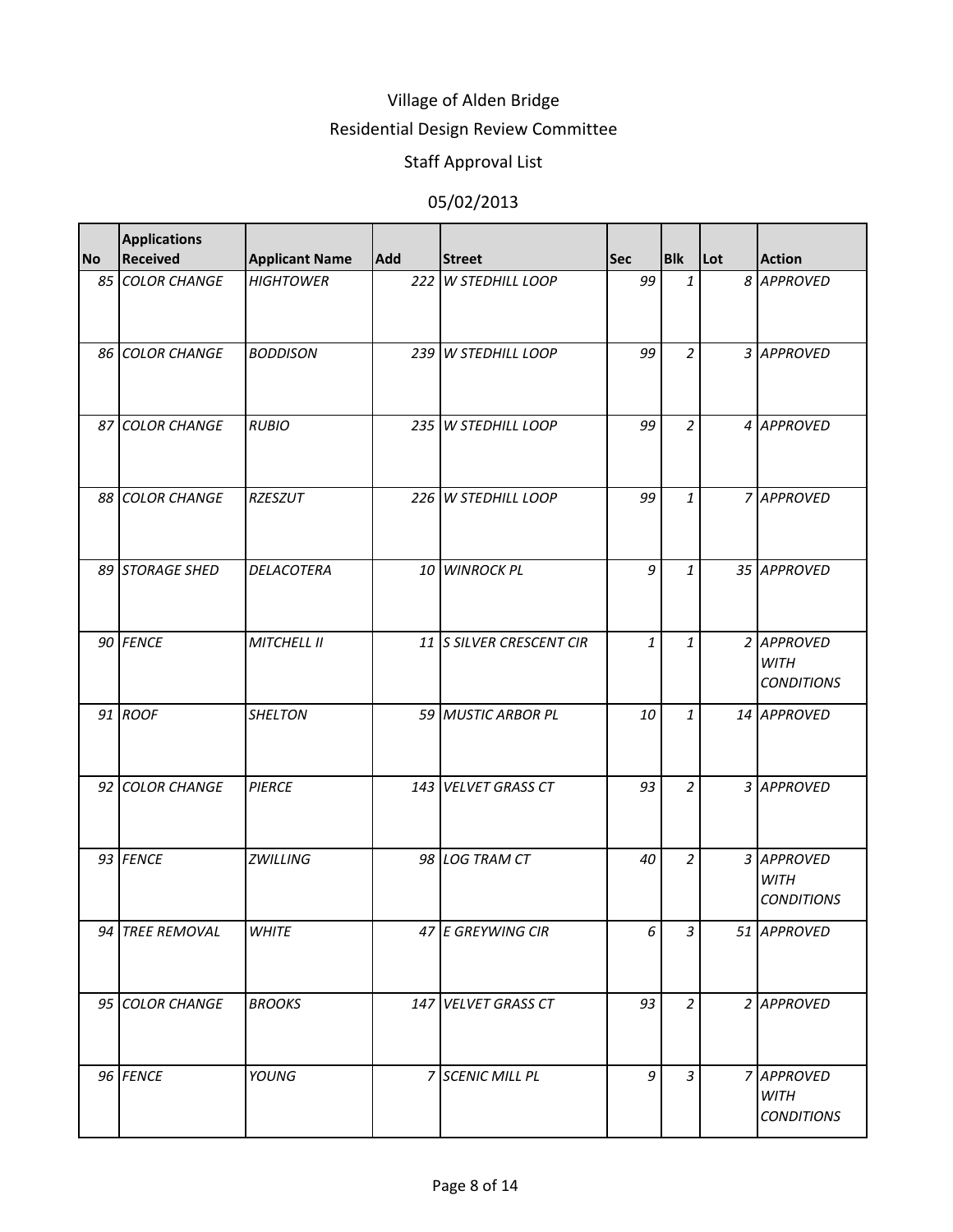#### Residential Design Review Committee

# Staff Approval List

| <b>No</b> | <b>Applications</b><br><b>Received</b> | <b>Applicant Name</b> | Add | <b>Street</b>            | <b>Sec</b> | <b>Blk</b>     | Lot | <b>Action</b>                                  |
|-----------|----------------------------------------|-----------------------|-----|--------------------------|------------|----------------|-----|------------------------------------------------|
|           | 85 COLOR CHANGE                        | <b>HIGHTOWER</b>      |     | 222 W STEDHILL LOOP      | 99         | $\mathbf{1}$   |     | 8 APPROVED                                     |
|           | 86 COLOR CHANGE                        | <b>BODDISON</b>       |     | 239 W STEDHILL LOOP      | 99         | $\overline{a}$ |     | 3 APPROVED                                     |
|           | 87 COLOR CHANGE                        | <b>RUBIO</b>          |     | 235 W STEDHILL LOOP      | 99         | $\overline{a}$ |     | 4 APPROVED                                     |
|           | 88 COLOR CHANGE                        | <b>RZESZUT</b>        |     | 226 W STEDHILL LOOP      | 99         | $\mathbf{1}$   |     | 7 APPROVED                                     |
|           | 89 STORAGE SHED                        | <b>DELACOTERA</b>     |     | 10 WINROCK PL            | 9          | $\mathbf{1}$   |     | 35 APPROVED                                    |
|           | 90 FENCE                               | <b>MITCHELL II</b>    |     | 11 S SILVER CRESCENT CIR | 1          | $\mathbf{1}$   |     | 2 APPROVED<br><b>WITH</b><br><b>CONDITIONS</b> |
|           | 91 ROOF                                | <b>SHELTON</b>        |     | 59 MUSTIC ARBOR PL       | 10         | $\mathbf{1}$   |     | 14 APPROVED                                    |
|           | 92 COLOR CHANGE                        | <b>PIERCE</b>         |     | 143 VELVET GRASS CT      | 93         | $\overline{a}$ |     | 3 APPROVED                                     |
|           | 93 FENCE                               | <b>ZWILLING</b>       |     | 98 LOG TRAM CT           | 40         | $\overline{a}$ |     | 3 APPROVED<br><b>WITH</b><br><b>CONDITIONS</b> |
|           | 94 TREE REMOVAL                        | <b>WHITE</b>          |     | 47 E GREYWING CIR        | 6          | 3              |     | 51 APPROVED                                    |
|           | 95 COLOR CHANGE                        | <b>BROOKS</b>         |     | 147 VELVET GRASS CT      | 93         | $\overline{2}$ |     | 2 APPROVED                                     |
|           | 96 FENCE                               | YOUNG                 |     | 7 SCENIC MILL PL         | 9          | $\overline{3}$ |     | 7 APPROVED<br>WITH<br><b>CONDITIONS</b>        |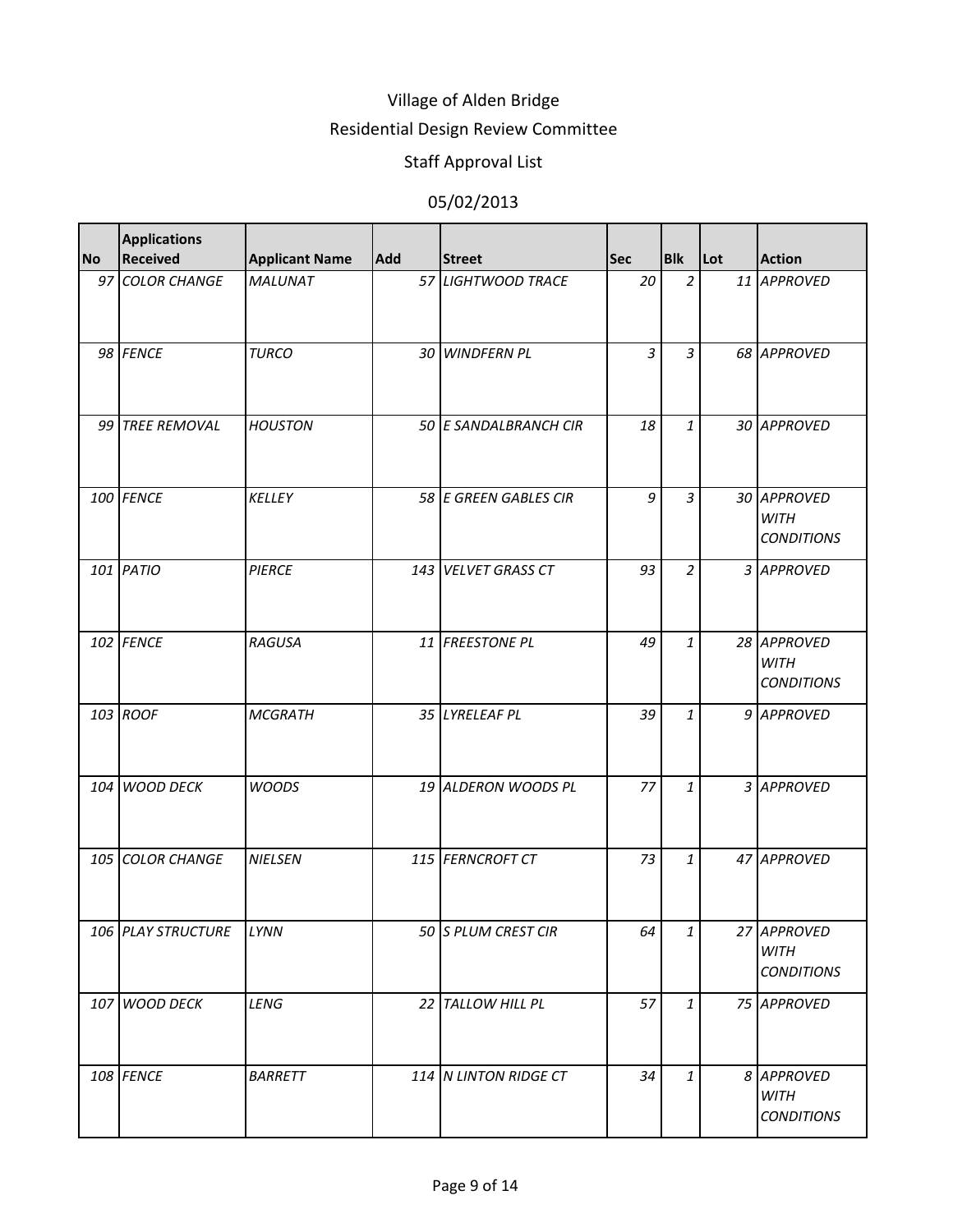### Residential Design Review Committee

# Staff Approval List

| <b>No</b> | <b>Applications</b><br><b>Received</b> | <b>Applicant Name</b> | <b>Add</b> | <b>Street</b>         | <b>Sec</b>     | <b>Blk</b>     | Lot | <b>Action</b>                                   |
|-----------|----------------------------------------|-----------------------|------------|-----------------------|----------------|----------------|-----|-------------------------------------------------|
|           | 97 COLOR CHANGE                        | <b>MALUNAT</b>        |            | 57 LIGHTWOOD TRACE    | 20             | $\overline{2}$ |     | 11 APPROVED                                     |
|           | 98 FENCE                               | <b>TURCO</b>          |            | 30 WINDFERN PL        | $\overline{3}$ | $\overline{3}$ |     | 68 APPROVED                                     |
|           | 99 TREE REMOVAL                        | <b>HOUSTON</b>        |            | 50 E SANDALBRANCH CIR | 18             | $\mathbf{1}$   |     | 30 APPROVED                                     |
|           | 100 FENCE                              | <b>KELLEY</b>         |            | 58 E GREEN GABLES CIR | 9              | 3              |     | 30 APPROVED<br><b>WITH</b><br><b>CONDITIONS</b> |
|           | 101 PATIO                              | <b>PIERCE</b>         |            | 143 VELVET GRASS CT   | 93             | $\overline{a}$ |     | 3 APPROVED                                      |
|           | 102 FENCE                              | <b>RAGUSA</b>         |            | 11 FREESTONE PL       | 49             | $\mathbf{1}$   |     | 28 APPROVED<br><b>WITH</b><br><b>CONDITIONS</b> |
|           | 103 ROOF                               | <b>MCGRATH</b>        |            | 35 LYRELEAF PL        | 39             | $\mathbf{1}$   |     | 9 APPROVED                                      |
|           | 104 WOOD DECK                          | <b>WOODS</b>          |            | 19 ALDERON WOODS PL   | 77             | $\mathbf{1}$   |     | 3 APPROVED                                      |
|           | 105 COLOR CHANGE                       | <b>NIELSEN</b>        |            | 115 FERNCROFT CT      | 73             | $\mathbf{1}$   |     | 47 APPROVED                                     |
|           | 106 PLAY STRUCTURE                     | LYNN                  |            | 50 S PLUM CREST CIR   | 64             | $\mathbf{1}$   |     | 27 APPROVED<br><b>WITH</b><br><b>CONDITIONS</b> |
|           | 107 WOOD DECK                          | LENG                  |            | 22 TALLOW HILL PL     | 57             | $\mathbf{1}$   |     | 75 APPROVED                                     |
|           | 108 FENCE                              | <b>BARRETT</b>        |            | 114 N LINTON RIDGE CT | 34             | $\mathbf{1}$   |     | 8 APPROVED<br><b>WITH</b><br><b>CONDITIONS</b>  |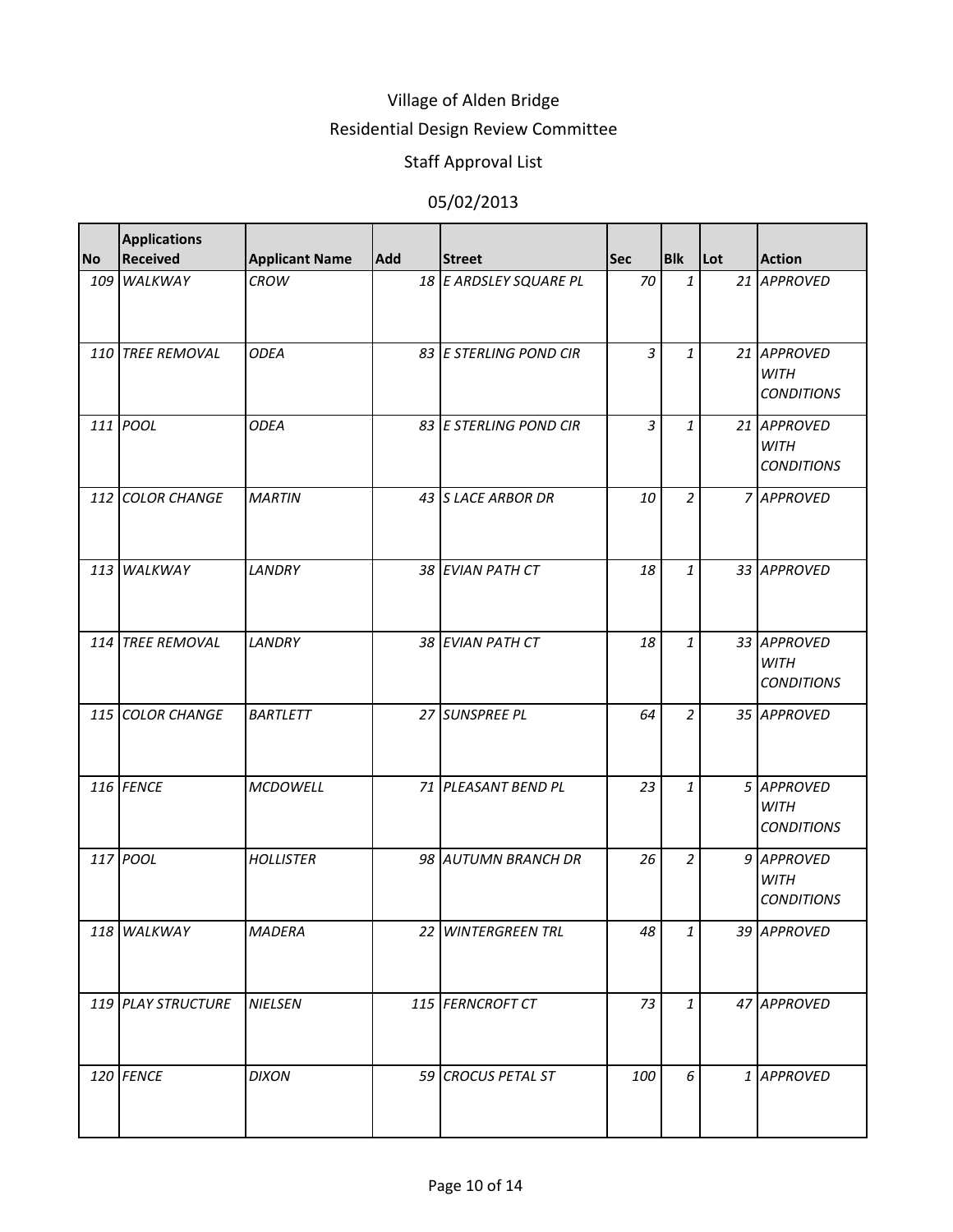### Residential Design Review Committee

# Staff Approval List

| <b>No</b> | <b>Applications</b><br><b>Received</b> | <b>Applicant Name</b> | <b>Add</b> | <b>Street</b>          | <b>Sec</b> | <b>Blk</b>     | <b>Lot</b> | <b>Action</b>                                   |
|-----------|----------------------------------------|-----------------------|------------|------------------------|------------|----------------|------------|-------------------------------------------------|
|           | 109 WALKWAY                            | <b>CROW</b>           |            | 18 E ARDSLEY SQUARE PL | 70         | $\mathbf{1}$   |            | 21 APPROVED                                     |
|           | 110 TREE REMOVAL                       | <b>ODEA</b>           |            | 83 E STERLING POND CIR | 3          | $\mathbf{1}$   |            | 21 APPROVED<br><b>WITH</b><br><b>CONDITIONS</b> |
|           | 111 POOL                               | <b>ODEA</b>           |            | 83 E STERLING POND CIR | 3          | $\mathbf{1}$   |            | 21 APPROVED<br><b>WITH</b><br><b>CONDITIONS</b> |
|           | 112 COLOR CHANGE                       | <b>MARTIN</b>         |            | 43 S LACE ARBOR DR     | 10         | $\overline{2}$ |            | 7 APPROVED                                      |
|           | 113 WALKWAY                            | LANDRY                |            | 38 EVIAN PATH CT       | 18         | $\mathbf{1}$   |            | 33 APPROVED                                     |
|           | 114 TREE REMOVAL                       | LANDRY                |            | 38 EVIAN PATH CT       | 18         | $\mathbf{1}$   |            | 33 APPROVED<br><b>WITH</b><br><b>CONDITIONS</b> |
|           | 115 COLOR CHANGE                       | <b>BARTLETT</b>       |            | 27 SUNSPREE PL         | 64         | $\overline{2}$ |            | 35 APPROVED                                     |
|           | 116 FENCE                              | <b>MCDOWELL</b>       |            | 71 PLEASANT BEND PL    | 23         | $\mathbf{1}$   |            | 5 APPROVED<br><b>WITH</b><br><b>CONDITIONS</b>  |
|           | 117 POOL                               | <b>HOLLISTER</b>      |            | 98 AUTUMN BRANCH DR    | 26         | $\overline{2}$ |            | 9 APPROVED<br><b>WITH</b><br><b>CONDITIONS</b>  |
|           | 118 WALKWAY                            | <b>MADERA</b>         |            | 22 WINTERGREEN TRL     | 48         | $\mathbf{1}$   |            | 39 APPROVED                                     |
|           | 119 PLAY STRUCTURE                     | <b>NIELSEN</b>        |            | 115 FERNCROFT CT       | 73         | $\mathbf{1}$   |            | 47 APPROVED                                     |
|           | 120 FENCE                              | <b>DIXON</b>          |            | 59 CROCUS PETAL ST     | 100        | 6              |            | 1 APPROVED                                      |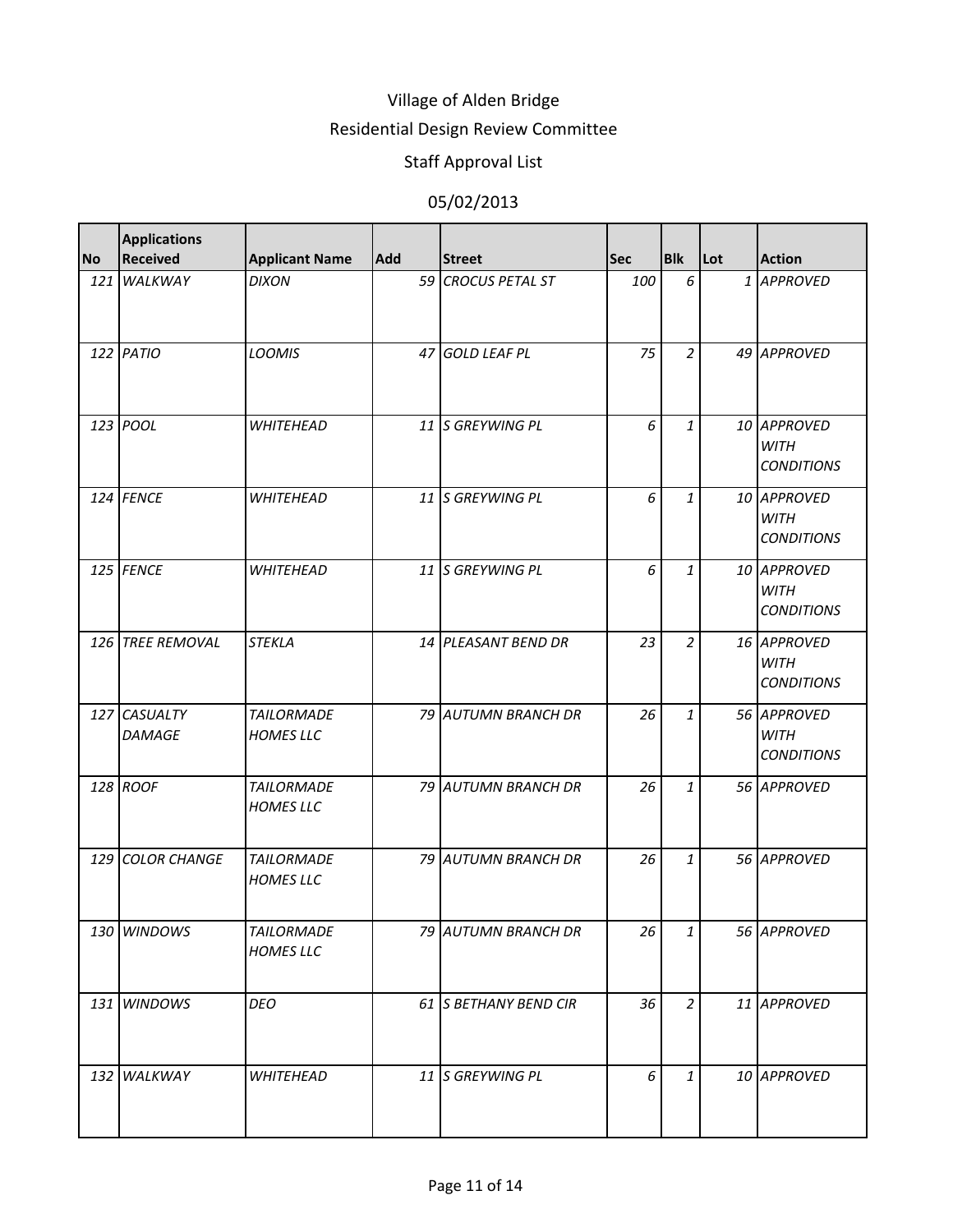### Residential Design Review Committee

### Staff Approval List

| <b>No</b> | <b>Applications</b><br><b>Received</b> | <b>Applicant Name</b>                 | <b>Add</b> | <b>Street</b>              | <b>Sec</b> | <b>Blk</b>     | Lot | <b>Action</b>                                   |
|-----------|----------------------------------------|---------------------------------------|------------|----------------------------|------------|----------------|-----|-------------------------------------------------|
|           | 121 WALKWAY                            | <b>DIXON</b>                          |            | 59 CROCUS PETAL ST         | 100        | 6              |     | 1 APPROVED                                      |
|           | 122 PATIO                              | <b>LOOMIS</b>                         | 47         | <b>GOLD LEAF PL</b>        | 75         | $\overline{a}$ |     | 49 APPROVED                                     |
|           | 123 POOL                               | <b>WHITEHEAD</b>                      |            | 11 S GREYWING PL           | 6          | $\mathbf{1}$   |     | 10 APPROVED<br><b>WITH</b><br><b>CONDITIONS</b> |
|           | 124 FENCE                              | <b>WHITEHEAD</b>                      |            | 11 S GREYWING PL           | 6          | $\mathbf{1}$   |     | 10 APPROVED<br><b>WITH</b><br><b>CONDITIONS</b> |
|           | 125 FENCE                              | <b>WHITEHEAD</b>                      |            | 11 S GREYWING PL           | 6          | $\mathbf{1}$   |     | 10 APPROVED<br><b>WITH</b><br><b>CONDITIONS</b> |
|           | 126 TREE REMOVAL                       | <b>STEKLA</b>                         |            | 14 PLEASANT BEND DR        | 23         | $\overline{a}$ |     | 16 APPROVED<br><b>WITH</b><br><b>CONDITIONS</b> |
|           | 127 CASUALTY<br><b>DAMAGE</b>          | <b>TAILORMADE</b><br><b>HOMES LLC</b> |            | 79 AUTUMN BRANCH DR        | 26         | $\mathbf{1}$   |     | 56 APPROVED<br><b>WITH</b><br><b>CONDITIONS</b> |
|           | 128 ROOF                               | <b>TAILORMADE</b><br><b>HOMES LLC</b> |            | 79 AUTUMN BRANCH DR        | 26         | $\mathbf{1}$   |     | 56 APPROVED                                     |
|           | <b>129 COLOR CHANGE</b>                | <b>TAILORMADE</b><br><b>HOMES LLC</b> |            | <b>79 AUTUMN BRANCH DR</b> | 26         | $\mathbf{1}$   |     | 56 APPROVED                                     |
|           | 130 WINDOWS                            | <b>TAILORMADE</b><br><b>HOMES LLC</b> |            | 79 AUTUMN BRANCH DR        | 26         | $\mathbf{1}$   |     | 56 APPROVED                                     |
|           | 131 WINDOWS                            | <b>DEO</b>                            |            | 61 S BETHANY BEND CIR      | 36         | $\overline{a}$ |     | 11 APPROVED                                     |
|           | 132 WALKWAY                            | <b>WHITEHEAD</b>                      |            | 11 S GREYWING PL           | 6          | $\mathbf{1}$   |     | 10 APPROVED                                     |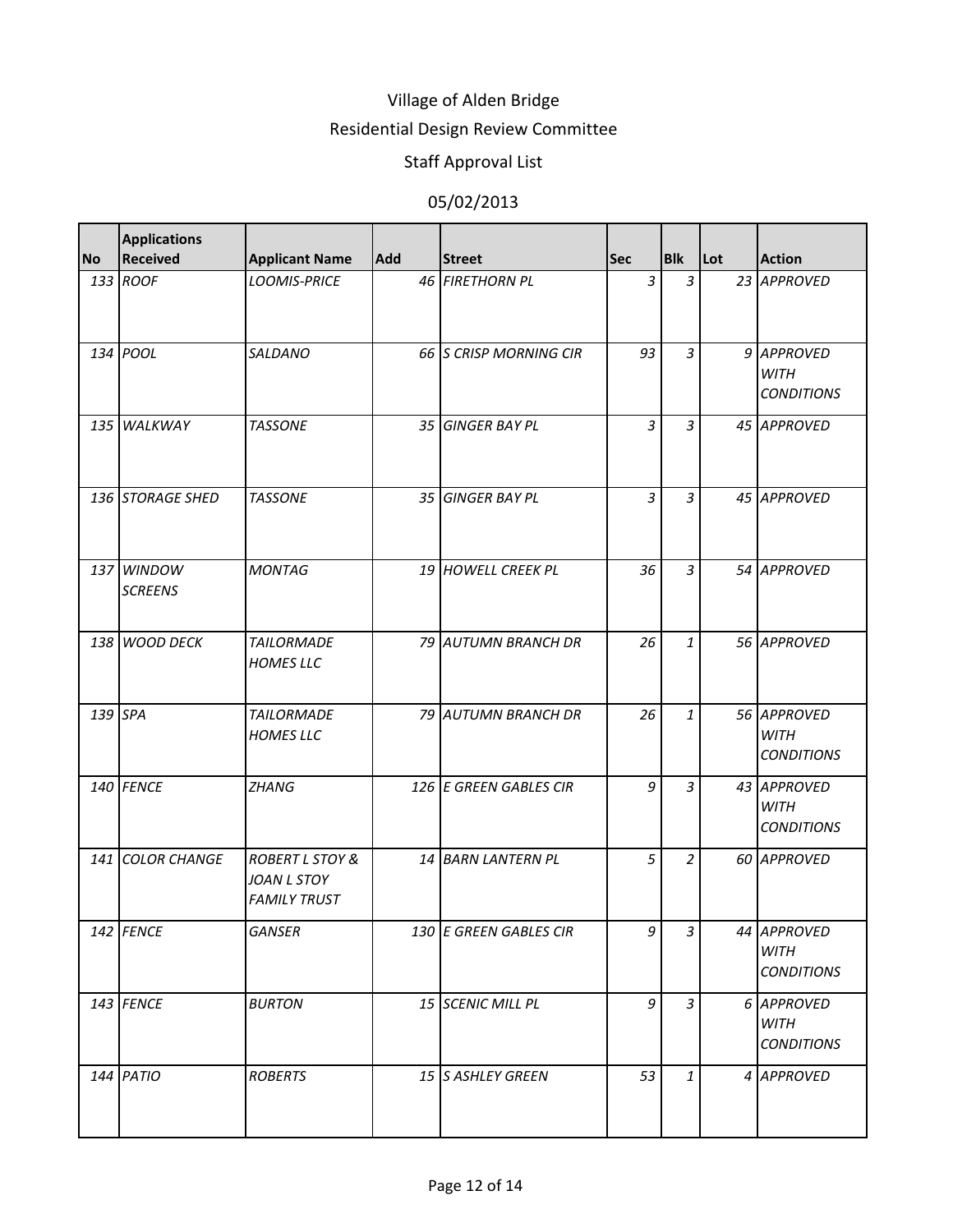#### Residential Design Review Committee

# Staff Approval List

| <b>No</b> | <b>Applications</b><br><b>Received</b> | <b>Applicant Name</b>                                            | Add | <b>Street</b>          | <b>Sec</b>     | <b>Blk</b>     | Lot | <b>Action</b>                                   |
|-----------|----------------------------------------|------------------------------------------------------------------|-----|------------------------|----------------|----------------|-----|-------------------------------------------------|
|           | 133 ROOF                               | <b>LOOMIS-PRICE</b>                                              |     | 46 FIRETHORN PL        | $\overline{3}$ | $\overline{3}$ |     | 23 APPROVED                                     |
|           | 134 POOL                               | SALDANO                                                          |     | 66 S CRISP MORNING CIR | 93             | $\overline{3}$ |     | 9 APPROVED<br><b>WITH</b><br><b>CONDITIONS</b>  |
|           | 135 WALKWAY                            | <b>TASSONE</b>                                                   |     | 35 GINGER BAY PL       | $\overline{3}$ | $\overline{3}$ |     | 45 APPROVED                                     |
|           | 136 STORAGE SHED                       | <b>TASSONE</b>                                                   |     | 35 GINGER BAY PL       | $\overline{3}$ | 3              |     | 45 APPROVED                                     |
|           | 137 WINDOW<br><b>SCREENS</b>           | <b>MONTAG</b>                                                    |     | 19 HOWELL CREEK PL     | 36             | 3              |     | 54 APPROVED                                     |
|           | 138 WOOD DECK                          | <b>TAILORMADE</b><br><b>HOMES LLC</b>                            |     | 79 AUTUMN BRANCH DR    | 26             | $\mathbf{1}$   |     | 56 APPROVED                                     |
| 139 SPA   |                                        | <b>TAILORMADE</b><br><b>HOMES LLC</b>                            |     | 79 AUTUMN BRANCH DR    | 26             | $\mathbf{1}$   |     | 56 APPROVED<br><b>WITH</b><br><b>CONDITIONS</b> |
|           | 140 FENCE                              | <b>ZHANG</b>                                                     |     | 126 E GREEN GABLES CIR | 9              | 3              |     | 43 APPROVED<br><b>WITH</b><br><b>CONDITIONS</b> |
|           | 141 COLOR CHANGE                       | <b>ROBERT L STOY &amp;</b><br>JOAN L STOY<br><b>FAMILY TRUST</b> |     | 14 BARN LANTERN PL     | 5              | 2              |     | 60 APPROVED                                     |
|           | 142 FENCE                              | <b>GANSER</b>                                                    |     | 130 E GREEN GABLES CIR | 9              | 3              |     | 44 APPROVED<br><b>WITH</b><br><b>CONDITIONS</b> |
|           | 143 FENCE                              | <b>BURTON</b>                                                    |     | 15 SCENIC MILL PL      | 9              | $\overline{3}$ |     | 6 APPROVED<br><b>WITH</b><br><b>CONDITIONS</b>  |
|           | 144 PATIO                              | <b>ROBERTS</b>                                                   |     | 15 S ASHLEY GREEN      | 53             | $\mathbf{1}$   |     | 4 APPROVED                                      |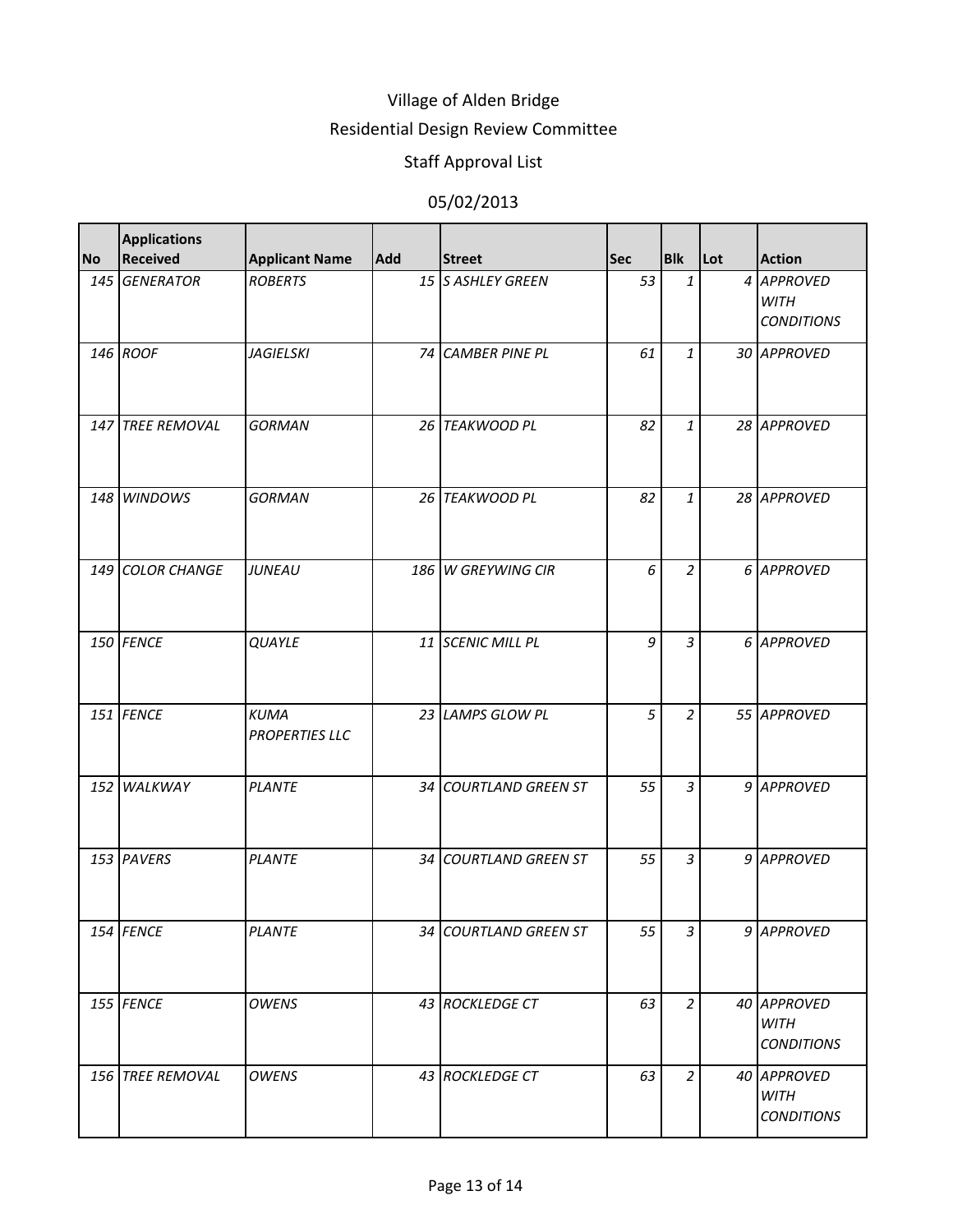### Residential Design Review Committee

# Staff Approval List

| <b>No</b> | <b>Applications</b><br><b>Received</b> | <b>Applicant Name</b>                | Add  | <b>Street</b>         | <b>Sec</b>   | <b>Blk</b>     | <b>Lot</b> | <b>Action</b>                                   |
|-----------|----------------------------------------|--------------------------------------|------|-----------------------|--------------|----------------|------------|-------------------------------------------------|
|           | 145 GENERATOR                          | <b>ROBERTS</b>                       |      | 15 S ASHLEY GREEN     | 53           | $\mathbf{1}$   |            | 4 APPROVED<br><b>WITH</b><br><b>CONDITIONS</b>  |
|           | 146 ROOF                               | <b>JAGIELSKI</b>                     | 74 I | <b>CAMBER PINE PL</b> | 61           | $\mathbf{1}$   |            | 30 APPROVED                                     |
|           | 147 TREE REMOVAL                       | <b>GORMAN</b>                        |      | 26 TEAKWOOD PL        | 82           | $\mathbf{1}$   |            | 28 APPROVED                                     |
|           | 148 WINDOWS                            | <b>GORMAN</b>                        |      | 26 TEAKWOOD PL        | 82           | $\mathbf{1}$   |            | 28 APPROVED                                     |
|           | 149 COLOR CHANGE                       | <b>JUNEAU</b>                        |      | 186 W GREYWING CIR    | 6            | $\overline{2}$ |            | 6 APPROVED                                      |
|           | 150 FENCE                              | <b>QUAYLE</b>                        |      | 11 SCENIC MILL PL     | $\mathcal G$ | $\overline{3}$ |            | 6 APPROVED                                      |
|           | 151 FENCE                              | <b>KUMA</b><br><b>PROPERTIES LLC</b> |      | 23 LAMPS GLOW PL      | 5            | $\overline{a}$ |            | 55 APPROVED                                     |
|           | 152 WALKWAY                            | <b>PLANTE</b>                        |      | 34 COURTLAND GREEN ST | 55           | $\overline{3}$ |            | 9 APPROVED                                      |
|           | 153 PAVERS                             | <b>PLANTE</b>                        |      | 34 COURTLAND GREEN ST | 55           | $\overline{3}$ |            | 9 APPROVED                                      |
|           | 154 FENCE                              | <b>PLANTE</b>                        |      | 34 COURTLAND GREEN ST | 55           | $\overline{3}$ |            | 9 APPROVED                                      |
|           | 155 FENCE                              | <b>OWENS</b>                         |      | 43 ROCKLEDGE CT       | 63           | $\overline{a}$ |            | 40 APPROVED<br><b>WITH</b><br><b>CONDITIONS</b> |
|           | 156 TREE REMOVAL                       | <b>OWENS</b>                         |      | 43 ROCKLEDGE CT       | 63           | $\overline{2}$ |            | 40 APPROVED<br><b>WITH</b><br><b>CONDITIONS</b> |